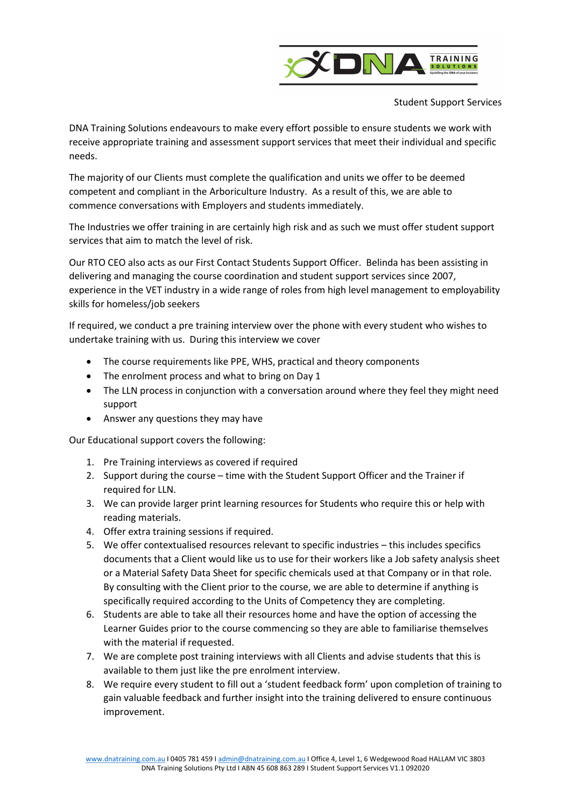

Student Support Services

DNA Training Solutions endeavours to make every effort possible to ensure students we work with receive appropriate training and assessment support services that meet their individual and specific needs.

The majority of our Clients must complete the qualification and units we offer to be deemed competent and compliant in the Arboriculture Industry. As a result of this, we are able to commence conversations with Employers and students immediately.

The Industries we offer training in are certainly high risk and as such we must offer student support services that aim to match the level of risk.

Our RTO CEO also acts as our First Contact Students Support Officer. Belinda has been assisting in delivering and managing the course coordination and student support services since 2007, experience in the VET industry in a wide range of roles from high level management to employability skills for homeless/job seekers

If required, we conduct a pre training interview over the phone with every student who wishes to undertake training with us. During this interview we cover

- The course requirements like PPE, WHS, practical and theory components
- The enrolment process and what to bring on Day 1
- The LLN process in conjunction with a conversation around where they feel they might need support
- Answer any questions they may have

Our Educational support covers the following:

- 1. Pre Training interviews as covered if required
- 2. Support during the course time with the Student Support Officer and the Trainer if required for LLN.
- 3. We can provide larger print learning resources for Students who require this or help with reading materials.
- 4. Offer extra training sessions if required.
- 5. We offer contextualised resources relevant to specific industries this includes specifics documents that a Client would like us to use for their workers like a Job safety analysis sheet or a Material Safety Data Sheet for specific chemicals used at that Company or in that role. By consulting with the Client prior to the course, we are able to determine if anything is specifically required according to the Units of Competency they are completing.
- 6. Students are able to take all their resources home and have the option of accessing the Learner Guides prior to the course commencing so they are able to familiarise themselves with the material if requested.
- 7. We are complete post training interviews with all Clients and advise students that this is available to them just like the pre enrolment interview.
- 8. We require every student to fill out a 'student feedback form' upon completion of training to gain valuable feedback and further insight into the training delivered to ensure continuous improvement.